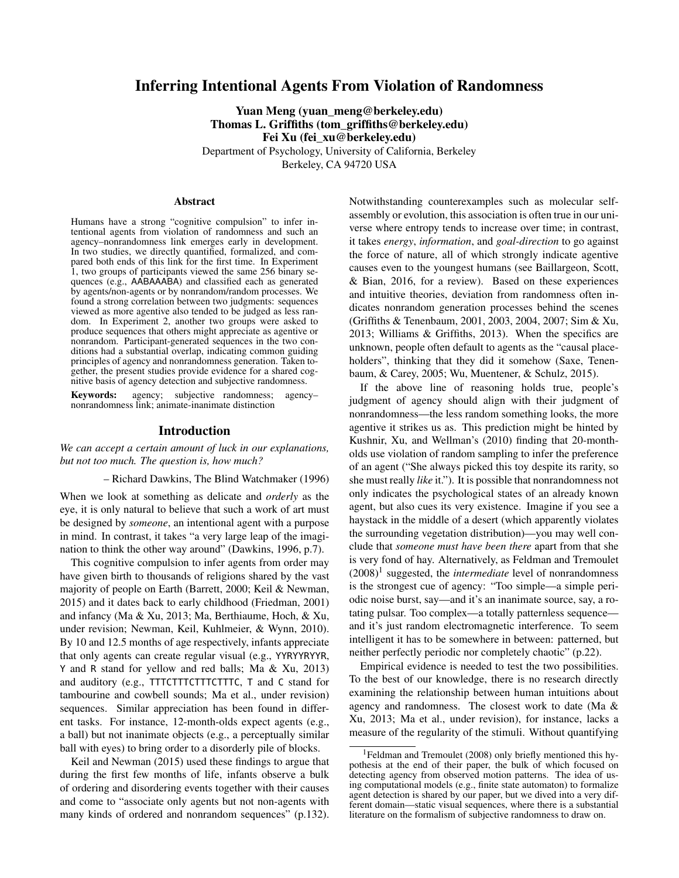# Inferring Intentional Agents From Violation of Randomness

Yuan Meng (yuan\_meng@berkeley.edu) Thomas L. Griffiths (tom\_griffiths@berkeley.edu) Fei Xu (fei\_xu@berkeley.edu) Department of Psychology, University of California, Berkeley

Berkeley, CA 94720 USA

### Abstract

Humans have a strong "cognitive compulsion" to infer intentional agents from violation of randomness and such an agency–nonrandomness link emerges early in development. In two studies, we directly quantified, formalized, and compared both ends of this link for the first time. In Experiment 1, two groups of participants viewed the same 256 binary sequences (e.g., AABAAABA) and classified each as generated by agents/non-agents or by nonrandom/random processes. We found a strong correlation between two judgments: sequences viewed as more agentive also tended to be judged as less random. In Experiment 2, another two groups were asked to produce sequences that others might appreciate as agentive or nonrandom. Participant-generated sequences in the two conditions had a substantial overlap, indicating common guiding principles of agency and nonrandomness generation. Taken together, the present studies provide evidence for a shared cognitive basis of agency detection and subjective randomness.

Keywords: agency; subjective randomness; agency– nonrandomness link; animate-inanimate distinction

# Introduction

*We can accept a certain amount of luck in our explanations, but not too much. The question is, how much?*

– Richard Dawkins, The Blind Watchmaker (1996)

When we look at something as delicate and *orderly* as the eye, it is only natural to believe that such a work of art must be designed by *someone*, an intentional agent with a purpose in mind. In contrast, it takes "a very large leap of the imagination to think the other way around" (Dawkins, 1996, p.7).

This cognitive compulsion to infer agents from order may have given birth to thousands of religions shared by the vast majority of people on Earth (Barrett, 2000; Keil & Newman, 2015) and it dates back to early childhood (Friedman, 2001) and infancy (Ma & Xu, 2013; Ma, Berthiaume, Hoch, & Xu, under revision; Newman, Keil, Kuhlmeier, & Wynn, 2010). By 10 and 12.5 months of age respectively, infants appreciate that only agents can create regular visual (e.g., YYRYYRYYR, Y and R stand for yellow and red balls; Ma & Xu, 2013) and auditory (e.g., TTTCTTTCTTTCTTTC, T and C stand for tambourine and cowbell sounds; Ma et al., under revision) sequences. Similar appreciation has been found in different tasks. For instance, 12-month-olds expect agents (e.g., a ball) but not inanimate objects (e.g., a perceptually similar ball with eyes) to bring order to a disorderly pile of blocks.

Keil and Newman (2015) used these findings to argue that during the first few months of life, infants observe a bulk of ordering and disordering events together with their causes and come to "associate only agents but not non-agents with many kinds of ordered and nonrandom sequences" (p.132). Notwithstanding counterexamples such as molecular selfassembly or evolution, this association is often true in our universe where entropy tends to increase over time; in contrast, it takes *energy*, *information*, and *goal-direction* to go against the force of nature, all of which strongly indicate agentive causes even to the youngest humans (see Baillargeon, Scott, & Bian, 2016, for a review). Based on these experiences and intuitive theories, deviation from randomness often indicates nonrandom generation processes behind the scenes (Griffiths & Tenenbaum, 2001, 2003, 2004, 2007; Sim & Xu, 2013; Williams & Griffiths, 2013). When the specifics are unknown, people often default to agents as the "causal placeholders", thinking that they did it somehow (Saxe, Tenenbaum, & Carey, 2005; Wu, Muentener, & Schulz, 2015).

If the above line of reasoning holds true, people's judgment of agency should align with their judgment of nonrandomness—the less random something looks, the more agentive it strikes us as. This prediction might be hinted by Kushnir, Xu, and Wellman's (2010) finding that 20-montholds use violation of random sampling to infer the preference of an agent ("She always picked this toy despite its rarity, so she must really *like* it."). It is possible that nonrandomness not only indicates the psychological states of an already known agent, but also cues its very existence. Imagine if you see a haystack in the middle of a desert (which apparently violates the surrounding vegetation distribution)—you may well conclude that *someone must have been there* apart from that she is very fond of hay. Alternatively, as Feldman and Tremoulet  $(2008)^1$  suggested, the *intermediate* level of nonrandomness is the strongest cue of agency: "Too simple—a simple periodic noise burst, say—and it's an inanimate source, say, a rotating pulsar. Too complex—a totally patternless sequence and it's just random electromagnetic interference. To seem intelligent it has to be somewhere in between: patterned, but neither perfectly periodic nor completely chaotic" (p.22).

Empirical evidence is needed to test the two possibilities. To the best of our knowledge, there is no research directly examining the relationship between human intuitions about agency and randomness. The closest work to date (Ma & Xu, 2013; Ma et al., under revision), for instance, lacks a measure of the regularity of the stimuli. Without quantifying

<sup>&</sup>lt;sup>1</sup>Feldman and Tremoulet (2008) only briefly mentioned this hypothesis at the end of their paper, the bulk of which focused on detecting agency from observed motion patterns. The idea of using computational models (e.g., finite state automaton) to formalize agent detection is shared by our paper, but we dived into a very different domain—static visual sequences, where there is a substantial literature on the formalism of subjective randomness to draw on.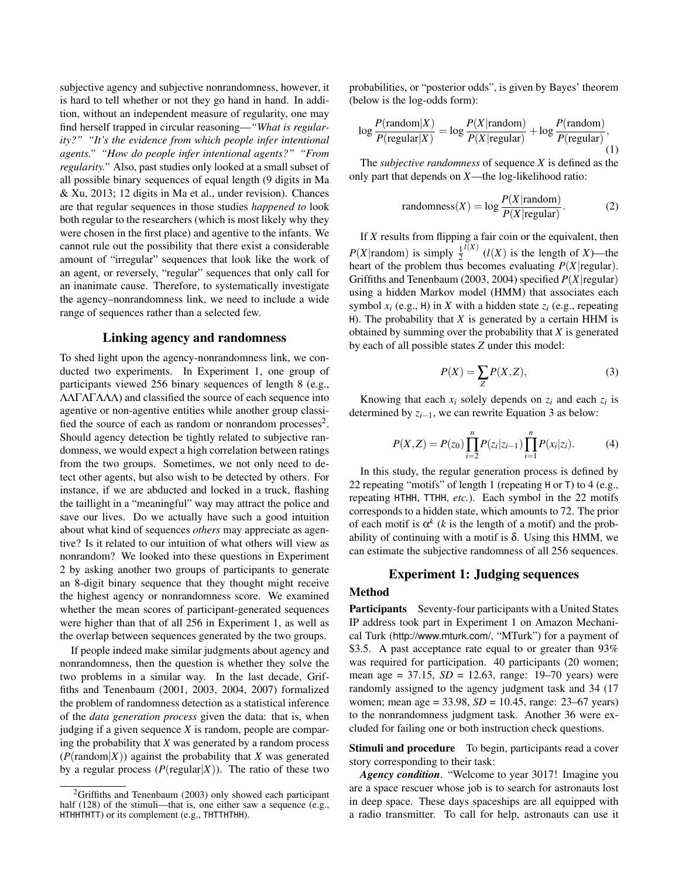subjective agency and subjective nonrandomness, however, it is hard to tell whether or not they go hand in hand. In addition, without an independent measure of regularity, one may find herself trapped in circular reasoning—*"What is regularity?" "It's the evidence from which people infer intentional agents." "How do people infer intentional agents?" "From regularity."* Also, past studies only looked at a small subset of all possible binary sequences of equal length (9 digits in Ma & Xu, 2013; 12 digits in Ma et al., under revision). Chances are that regular sequences in those studies *happened to* look both regular to the researchers (which is most likely why they were chosen in the first place) and agentive to the infants. We cannot rule out the possibility that there exist a considerable amount of "irregular" sequences that look like the work of an agent, or reversely, "regular" sequences that only call for an inanimate cause. Therefore, to systematically investigate the agency–nonrandomness link, we need to include a wide range of sequences rather than a selected few.

### Linking agency and randomness

To shed light upon the agency-nonrandomness link, we conducted two experiments. In Experiment 1, one group of participants viewed 256 binary sequences of length 8 (e.g., ΛΛΓΛΓΛΛΛ) and classified the source of each sequence into agentive or non-agentive entities while another group classified the source of each as random or nonrandom processes<sup>2</sup>. Should agency detection be tightly related to subjective randomness, we would expect a high correlation between ratings from the two groups. Sometimes, we not only need to detect other agents, but also wish to be detected by others. For instance, if we are abducted and locked in a truck, flashing the taillight in a "meaningful" way may attract the police and save our lives. Do we actually have such a good intuition about what kind of sequences *others* may appreciate as agentive? Is it related to our intuition of what others will view as nonrandom? We looked into these questions in Experiment 2 by asking another two groups of participants to generate an 8-digit binary sequence that they thought might receive the highest agency or nonrandomness score. We examined whether the mean scores of participant-generated sequences were higher than that of all 256 in Experiment 1, as well as the overlap between sequences generated by the two groups.

If people indeed make similar judgments about agency and nonrandomness, then the question is whether they solve the two problems in a similar way. In the last decade, Griffiths and Tenenbaum (2001, 2003, 2004, 2007) formalized the problem of randomness detection as a statistical inference of the *data generation process* given the data: that is, when judging if a given sequence *X* is random, people are comparing the probability that *X* was generated by a random process  $(P(\text{random}|X))$  against the probability that *X* was generated by a regular process  $(P(\text{regular}|X))$ . The ratio of these two probabilities, or "posterior odds", is given by Bayes' theorem (below is the log-odds form):

$$
\log \frac{P(\text{random}|X)}{P(\text{regular}|X)} = \log \frac{P(X|\text{random})}{P(X|\text{regular})} + \log \frac{P(\text{random})}{P(\text{regular})},\tag{1}
$$

The *subjective randomness* of sequence *X* is defined as the only part that depends on *X*—the log-likelihood ratio:

randomness(X) = 
$$
\log \frac{P(X|\text{random})}{P(X|\text{regular})}
$$
. (2)

If *X* results from flipping a fair coin or the equivalent, then  $P(X|\text{random})$  is simply  $\frac{1}{2}$  $\binom{l(X)}{l(X)}$  is the length of *X*)—the heart of the problem thus becomes evaluating  $P(X|\text{regular})$ . Griffiths and Tenenbaum (2003, 2004) specified *P*(*X*|regular) using a hidden Markov model (HMM) that associates each symbol  $x_i$  (e.g., H) in *X* with a hidden state  $z_i$  (e.g., repeating H). The probability that  $X$  is generated by a certain HHM is obtained by summing over the probability that *X* is generated by each of all possible states *Z* under this model:

$$
P(X) = \sum_{Z} P(X, Z),\tag{3}
$$

Knowing that each  $x_i$  solely depends on  $z_i$  and each  $z_i$  is determined by *zi*−1, we can rewrite Equation 3 as below:

$$
P(X,Z) = P(z_0) \prod_{i=2}^{n} P(z_i | z_{i-1}) \prod_{i=1}^{n} P(x_i | z_i).
$$
 (4)

In this study, the regular generation process is defined by 22 repeating "motifs" of length 1 (repeating H or T) to 4 (e.g., repeating HTHH, TTHH, *etc.*). Each symbol in the 22 motifs corresponds to a hidden state, which amounts to 72. The prior of each motif is  $\alpha^k$  (*k* is the length of a motif) and the probability of continuing with a motif is  $\delta$ . Using this HMM, we can estimate the subjective randomness of all 256 sequences.

### Experiment 1: Judging sequences

# Method

Participants Seventy-four participants with a United States IP address took part in Experiment 1 on Amazon Mechanical Turk (http://www.mturk.com/, "MTurk") for a payment of \$3.5. A past acceptance rate equal to or greater than 93% was required for participation. 40 participants (20 women; mean age = 37.15, *SD* = 12.63, range: 19–70 years) were randomly assigned to the agency judgment task and 34 (17 women; mean age = 33.98, *SD* = 10.45, range: 23–67 years) to the nonrandomness judgment task. Another 36 were excluded for failing one or both instruction check questions.

Stimuli and procedure To begin, participants read a cover story corresponding to their task:

*Agency condition*. "Welcome to year 3017! Imagine you are a space rescuer whose job is to search for astronauts lost in deep space. These days spaceships are all equipped with a radio transmitter. To call for help, astronauts can use it

 ${}^{2}$ Griffiths and Tenenbaum (2003) only showed each participant half (128) of the stimuli—that is, one either saw a sequence (e.g., HTHHTHTT) or its complement (e.g., THTTHTHH).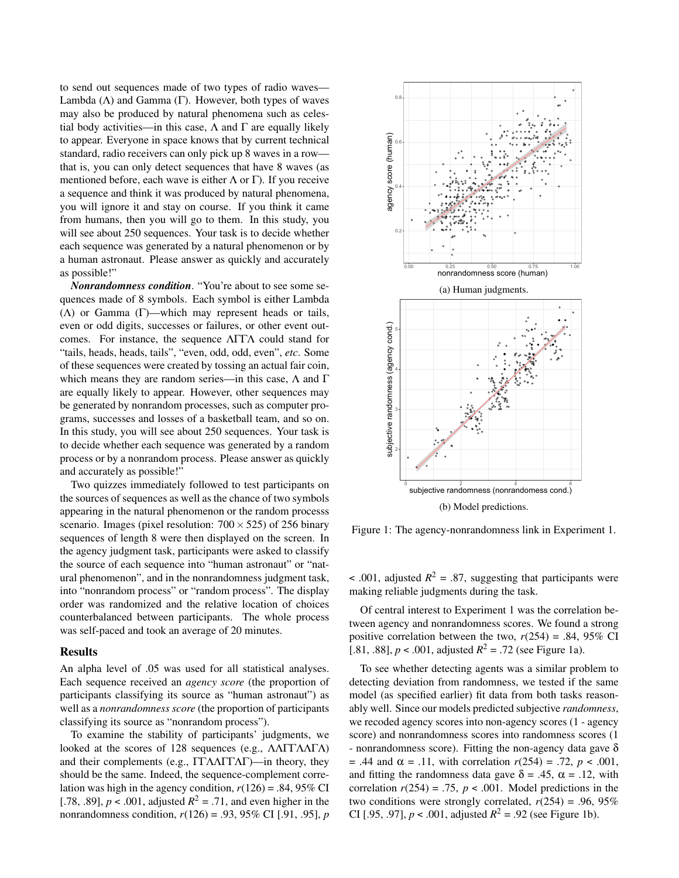to send out sequences made of two types of radio waves— Lambda  $(\Lambda)$  and Gamma  $(\Gamma)$ . However, both types of waves may also be produced by natural phenomena such as celestial body activities—in this case,  $\Lambda$  and  $\Gamma$  are equally likely to appear. Everyone in space knows that by current technical standard, radio receivers can only pick up 8 waves in a row that is, you can only detect sequences that have 8 waves (as mentioned before, each wave is either  $\Lambda$  or  $\Gamma$ ). If you receive a sequence and think it was produced by natural phenomena, you will ignore it and stay on course. If you think it came from humans, then you will go to them. In this study, you will see about 250 sequences. Your task is to decide whether each sequence was generated by a natural phenomenon or by a human astronaut. Please answer as quickly and accurately as possible!"

*Nonrandomness condition*. "You're about to see some sequences made of 8 symbols. Each symbol is either Lambda ( $\Lambda$ ) or Gamma (Γ)—which may represent heads or tails, even or odd digits, successes or failures, or other event outcomes. For instance, the sequence ΛΓΓΛ could stand for "tails, heads, heads, tails", "even, odd, odd, even", *etc*. Some of these sequences were created by tossing an actual fair coin, which means they are random series—in this case,  $\Lambda$  and  $\Gamma$ are equally likely to appear. However, other sequences may be generated by nonrandom processes, such as computer programs, successes and losses of a basketball team, and so on. In this study, you will see about 250 sequences. Your task is to decide whether each sequence was generated by a random process or by a nonrandom process. Please answer as quickly and accurately as possible!"

Two quizzes immediately followed to test participants on the sources of sequences as well as the chance of two symbols appearing in the natural phenomenon or the random processs scenario. Images (pixel resolution:  $700 \times 525$ ) of 256 binary sequences of length 8 were then displayed on the screen. In the agency judgment task, participants were asked to classify the source of each sequence into "human astronaut" or "natural phenomenon", and in the nonrandomness judgment task, into "nonrandom process" or "random process". The display order was randomized and the relative location of choices counterbalanced between participants. The whole process was self-paced and took an average of 20 minutes.

#### Results

An alpha level of .05 was used for all statistical analyses. Each sequence received an *agency score* (the proportion of participants classifying its source as "human astronaut") as well as a *nonrandomness score* (the proportion of participants classifying its source as "nonrandom process").

To examine the stability of participants' judgments, we looked at the scores of 128 sequences (e.g., ΛΛΓΓΛΛΓΛ) and their complements (e.g., ΓΓΛΛΓΓΛΓ)—in theory, they should be the same. Indeed, the sequence-complement correlation was high in the agency condition,  $r(126) = .84,95\%$  CI [.78, .89],  $p < .001$ , adjusted  $R^2 = .71$ , and even higher in the nonrandomness condition, *r*(126) = .93, 95% CI [.91, .95], *p*



Figure 1: The agency-nonrandomness link in Experiment 1.

 $\leq$  .001, adjusted  $R^2 = .87$ , suggesting that participants were making reliable judgments during the task.

Of central interest to Experiment 1 was the correlation between agency and nonrandomness scores. We found a strong positive correlation between the two,  $r(254) = .84, 95\%$  CI [.81, .88],  $p < .001$ , adjusted  $R^2 = .72$  (see Figure 1a).

To see whether detecting agents was a similar problem to detecting deviation from randomness, we tested if the same model (as specified earlier) fit data from both tasks reasonably well. Since our models predicted subjective *randomness*, we recoded agency scores into non-agency scores (1 - agency score) and nonrandomness scores into randomness scores (1 - nonrandomness score). Fitting the non-agency data gave  $\delta$ = .44 and α = .11, with correlation *r*(254) = .72, *p* < .001, and fitting the randomness data gave  $\delta = .45$ ,  $\alpha = .12$ , with correlation  $r(254) = .75$ ,  $p < .001$ . Model predictions in the two conditions were strongly correlated,  $r(254) = .96, 95\%$ CI [.95, .97],  $p < .001$ , adjusted  $R^2 = .92$  (see Figure 1b).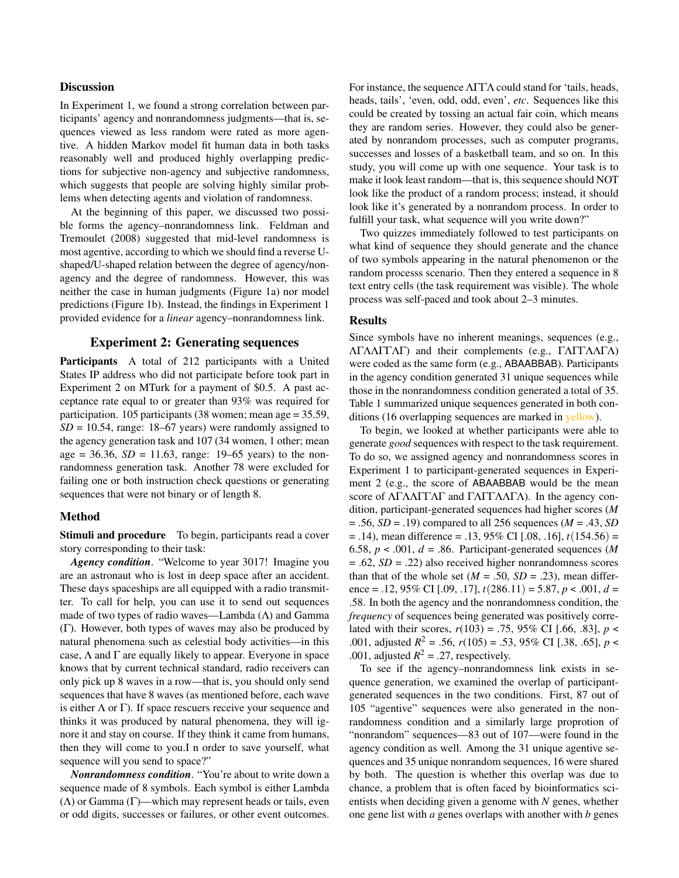### **Discussion**

In Experiment 1, we found a strong correlation between participants' agency and nonrandomness judgments—that is, sequences viewed as less random were rated as more agentive. A hidden Markov model fit human data in both tasks reasonably well and produced highly overlapping predictions for subjective non-agency and subjective randomness, which suggests that people are solving highly similar problems when detecting agents and violation of randomness.

At the beginning of this paper, we discussed two possible forms the agency–nonrandomness link. Feldman and Tremoulet (2008) suggested that mid-level randomness is most agentive, according to which we should find a reverse Ushaped/U-shaped relation between the degree of agency/nonagency and the degree of randomness. However, this was neither the case in human judgments (Figure 1a) nor model predictions (Figure 1b). Instead, the findings in Experiment 1 provided evidence for a *linear* agency–nonrandomness link.

# Experiment 2: Generating sequences

Participants A total of 212 participants with a United States IP address who did not participate before took part in Experiment 2 on MTurk for a payment of \$0.5. A past acceptance rate equal to or greater than 93% was required for participation. 105 participants (38 women; mean age = 35.59, *SD* = 10.54, range: 18–67 years) were randomly assigned to the agency generation task and 107 (34 women, 1 other; mean age = 36.36,  $SD = 11.63$ , range: 19–65 years) to the nonrandomness generation task. Another 78 were excluded for failing one or both instruction check questions or generating sequences that were not binary or of length 8.

### Method

Stimuli and procedure To begin, participants read a cover story corresponding to their task:

*Agency condition*. "Welcome to year 3017! Imagine you are an astronaut who is lost in deep space after an accident. These days spaceships are all equipped with a radio transmitter. To call for help, you can use it to send out sequences made of two types of radio waves—Lambda (Λ) and Gamma (Γ). However, both types of waves may also be produced by natural phenomena such as celestial body activities—in this case,  $\Lambda$  and  $\Gamma$  are equally likely to appear. Everyone in space knows that by current technical standard, radio receivers can only pick up 8 waves in a row—that is, you should only send sequences that have 8 waves (as mentioned before, each wave is either  $\Lambda$  or  $\Gamma$ ). If space rescuers receive your sequence and thinks it was produced by natural phenomena, they will ignore it and stay on course. If they think it came from humans, then they will come to you.I n order to save yourself, what sequence will you send to space?"

*Nonrandomness condition*. "You're about to write down a sequence made of 8 symbols. Each symbol is either Lambda  $(\Lambda)$  or Gamma (Γ)—which may represent heads or tails, even or odd digits, successes or failures, or other event outcomes. For instance, the sequence ΛΓΓΛ could stand for 'tails, heads, heads, tails', 'even, odd, odd, even', *etc*. Sequences like this could be created by tossing an actual fair coin, which means they are random series. However, they could also be generated by nonrandom processes, such as computer programs, successes and losses of a basketball team, and so on. In this study, you will come up with one sequence. Your task is to make it look least random—that is, this sequence should NOT look like the product of a random process; instead, it should look like it's generated by a nonrandom process. In order to fulfill your task, what sequence will you write down?"

Two quizzes immediately followed to test participants on what kind of sequence they should generate and the chance of two symbols appearing in the natural phenomenon or the random processs scenario. Then they entered a sequence in 8 text entry cells (the task requirement was visible). The whole process was self-paced and took about 2–3 minutes.

#### Results

Since symbols have no inherent meanings, sequences (e.g., ΛΓΛΛΓΓΛΓ) and their complements (e.g., ΓΛΓΓΛΛΓΛ) were coded as the same form (e.g., ABAABBAB). Participants in the agency condition generated 31 unique sequences while those in the nonrandomness condition generated a total of 35. Table 1 summarized unique sequences generated in both conditions (16 overlapping sequences are marked in yellow).

To begin, we looked at whether participants were able to generate *good* sequences with respect to the task requirement. To do so, we assigned agency and nonrandomness scores in Experiment 1 to participant-generated sequences in Experiment 2 (e.g., the score of ABAABBAB would be the mean score of  $\Lambda \Gamma \Lambda \Lambda \Gamma \Gamma \Lambda \Gamma$  and  $\Gamma \Lambda \Gamma \Gamma \Lambda \Lambda \Gamma \Lambda$ ). In the agency condition, participant-generated sequences had higher scores (*M* = .56, *SD* = .19) compared to all 256 sequences (*M* = .43, *SD* = .14), mean difference = .13, 95% CI [.08, .16], *t*(154.56) = 6.58,  $p < .001$ ,  $d = .86$ . Participant-generated sequences (*M* = .62, *SD* = .22) also received higher nonrandomness scores than that of the whole set  $(M = .50, SD = .23)$ , mean difference = .12, 95% CI [.09, .17], *t*(286.11) = 5.87, *p* < .001, *d* = .58. In both the agency and the nonrandomness condition, the *frequency* of sequences being generated was positively correlated with their scores,  $r(103) = .75$ , 95% CI [.66, .83],  $p <$ .001, adjusted  $R^2 = .56$ ,  $r(105) = .53$ , 95% CI [.38, .65],  $p <$ .001, adjusted  $R^2 = .27$ , respectively.

To see if the agency–nonrandomness link exists in sequence generation, we examined the overlap of participantgenerated sequences in the two conditions. First, 87 out of 105 "agentive" sequences were also generated in the nonrandomness condition and a similarly large proprotion of "nonrandom" sequences—83 out of 107—were found in the agency condition as well. Among the 31 unique agentive sequences and 35 unique nonrandom sequences, 16 were shared by both. The question is whether this overlap was due to chance, a problem that is often faced by bioinformatics scientists when deciding given a genome with *N* genes, whether one gene list with *a* genes overlaps with another with *b* genes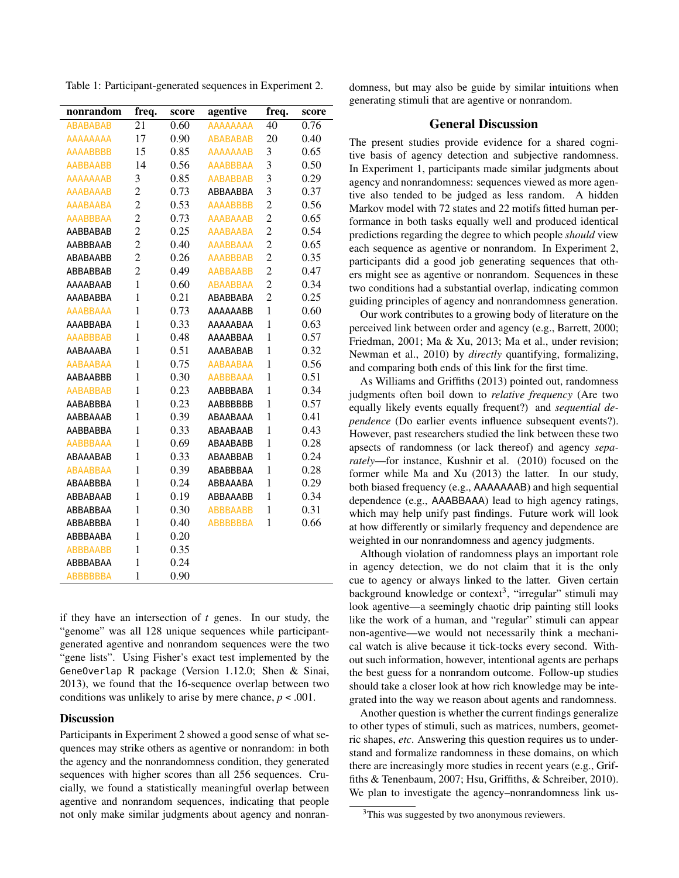Table 1: Participant-generated sequences in Experiment 2.

| nonrandom       | freq.          | score | agentive        | freq.          | score |
|-----------------|----------------|-------|-----------------|----------------|-------|
| <b>ABABABAB</b> | 21             | 0.60  | AAAAAAAA        | 40             | 0.76  |
| <b>AAAAAAAA</b> | 17             | 0.90  | <b>ABABABAB</b> | 20             | 0.40  |
| <b>AAAABBBB</b> | 15             | 0.85  | <b>AAAAAAAB</b> | 3              | 0.65  |
| <b>AABBAABB</b> | 14             | 0.56  | <b>AAABBBAA</b> | 3              | 0.50  |
| <b>AAAAAAAB</b> | 3              | 0.85  | <b>AABABBAB</b> | 3              | 0.29  |
| <b>AAABAAAB</b> | $\overline{c}$ | 0.73  | ABBAABBA        | 3              | 0.37  |
| <b>AAABAABA</b> | $\overline{c}$ | 0.53  | <b>AAAABBBB</b> | $\overline{c}$ | 0.56  |
| <b>AAABBBAA</b> | $\overline{c}$ | 0.73  | <b>AAABAAAB</b> | $\overline{2}$ | 0.65  |
| AABBABAB        | $\overline{2}$ | 0.25  | <b>AAABAABA</b> | $\overline{2}$ | 0.54  |
| AABBBAAB        | $\overline{c}$ | 0.40  | <b>AAABBAAA</b> | $\overline{c}$ | 0.65  |
| ABABAABB        | $\overline{2}$ | 0.26  | <b>AAABBBAB</b> | $\overline{2}$ | 0.35  |
| ABBABBAB        | $\overline{c}$ | 0.49  | <b>AABBAABB</b> | $\overline{c}$ | 0.47  |
| AAAABAAB        | $\mathbf{1}$   | 0.60  | <b>ABAABBAA</b> | $\overline{c}$ | 0.34  |
| AAABABBA        | $\mathbf{1}$   | 0.21  | ABABBABA        | $\overline{c}$ | 0.25  |
| <b>AAABBAAA</b> | 1              | 0.73  | AAAAAABB        | $\mathbf{1}$   | 0.60  |
| AAABBABA        | $\mathbf{1}$   | 0.33  | AAAAABAA        | $\mathbf{1}$   | 0.63  |
| <b>AAABBBAB</b> | $\mathbf{1}$   | 0.48  | AAAABBAA        | $\mathbf{1}$   | 0.57  |
| AABAAABA        | $\mathbf{1}$   | 0.51  | AAABABAB        | $\mathbf{1}$   | 0.32  |
| <b>AABAABAA</b> | $\mathbf{1}$   | 0.75  | <b>AABAABAA</b> | $\mathbf{1}$   | 0.56  |
| AABAABBB        | $\mathbf{1}$   | 0.30  | <b>AABBBAAA</b> | $\mathbf{1}$   | 0.51  |
| <b>AABABBAB</b> | $\mathbf{1}$   | 0.23  | AABBBABA        | $\mathbf{1}$   | 0.34  |
| AABABBBA        | $\mathbf{1}$   | 0.23  | <b>AABBBBBB</b> | $\mathbf{1}$   | 0.57  |
| AABBAAAB        | $\mathbf{1}$   | 0.39  | ABAABAAA        | $\mathbf{1}$   | 0.41  |
| <b>AABBABBA</b> | $\mathbf{1}$   | 0.33  | ABAABAAB        | $\mathbf{1}$   | 0.43  |
| <b>AABBBAAA</b> | $\mathbf{1}$   | 0.69  | ABAABABB        | $\mathbf{1}$   | 0.28  |
| ABAAABAB        | $\mathbf{1}$   | 0.33  | ABAABBAB        | $\mathbf{1}$   | 0.24  |
| <b>ABAABBAA</b> | $\mathbf{1}$   | 0.39  | ABABBBAA        | $\mathbf{1}$   | 0.28  |
| ABAABBBA        | $\mathbf{1}$   | 0.24  | ABBAAABA        | $\mathbf{1}$   | 0.29  |
| ABBABAAB        | $\mathbf{1}$   | 0.19  | ABBAAABB        | $\mathbf{1}$   | 0.34  |
| ABBABBAA        | $\mathbf{1}$   | 0.30  | <b>ABBBAABB</b> | $\mathbf{1}$   | 0.31  |
| <b>ABBABBBA</b> | $\mathbf{1}$   | 0.40  | <b>ABBBBBBA</b> | $\mathbf{1}$   | 0.66  |
| ABBBAABA        | 1              | 0.20  |                 |                |       |
| <b>ABBBAABB</b> | $\mathbf{1}$   | 0.35  |                 |                |       |
| ABBBABAA        | 1              | 0.24  |                 |                |       |
| <b>ABBBBBBA</b> | 1              | 0.90  |                 |                |       |

if they have an intersection of *t* genes. In our study, the "genome" was all 128 unique sequences while participantgenerated agentive and nonrandom sequences were the two "gene lists". Using Fisher's exact test implemented by the GeneOverlap R package (Version 1.12.0; Shen & Sinai, 2013), we found that the 16-sequence overlap between two conditions was unlikely to arise by mere chance,  $p < .001$ .

#### **Discussion**

Participants in Experiment 2 showed a good sense of what sequences may strike others as agentive or nonrandom: in both the agency and the nonrandomness condition, they generated sequences with higher scores than all 256 sequences. Crucially, we found a statistically meaningful overlap between agentive and nonrandom sequences, indicating that people not only make similar judgments about agency and nonrandomness, but may also be guide by similar intuitions when generating stimuli that are agentive or nonrandom.

### General Discussion

The present studies provide evidence for a shared cognitive basis of agency detection and subjective randomness. In Experiment 1, participants made similar judgments about agency and nonrandomness: sequences viewed as more agentive also tended to be judged as less random. A hidden Markov model with 72 states and 22 motifs fitted human performance in both tasks equally well and produced identical predictions regarding the degree to which people *should* view each sequence as agentive or nonrandom. In Experiment 2, participants did a good job generating sequences that others might see as agentive or nonrandom. Sequences in these two conditions had a substantial overlap, indicating common guiding principles of agency and nonrandomness generation.

Our work contributes to a growing body of literature on the perceived link between order and agency (e.g., Barrett, 2000; Friedman, 2001; Ma & Xu, 2013; Ma et al., under revision; Newman et al., 2010) by *directly* quantifying, formalizing, and comparing both ends of this link for the first time.

As Williams and Griffiths (2013) pointed out, randomness judgments often boil down to *relative frequency* (Are two equally likely events equally frequent?) and *sequential dependence* (Do earlier events influence subsequent events?). However, past researchers studied the link between these two apsects of randomness (or lack thereof) and agency *separately*—for instance, Kushnir et al. (2010) focused on the former while Ma and Xu (2013) the latter. In our study, both biased frequency (e.g., AAAAAAAB) and high sequential dependence (e.g., AAABBAAA) lead to high agency ratings, which may help unify past findings. Future work will look at how differently or similarly frequency and dependence are weighted in our nonrandomness and agency judgments.

Although violation of randomness plays an important role in agency detection, we do not claim that it is the only cue to agency or always linked to the latter. Given certain background knowledge or context<sup>3</sup>, "irregular" stimuli may look agentive—a seemingly chaotic drip painting still looks like the work of a human, and "regular" stimuli can appear non-agentive—we would not necessarily think a mechanical watch is alive because it tick-tocks every second. Without such information, however, intentional agents are perhaps the best guess for a nonrandom outcome. Follow-up studies should take a closer look at how rich knowledge may be integrated into the way we reason about agents and randomness.

Another question is whether the current findings generalize to other types of stimuli, such as matrices, numbers, geometric shapes, *etc*. Answering this question requires us to understand and formalize randomness in these domains, on which there are increasingly more studies in recent years (e.g., Griffiths & Tenenbaum, 2007; Hsu, Griffiths, & Schreiber, 2010). We plan to investigate the agency–nonrandomness link us-

<sup>&</sup>lt;sup>3</sup>This was suggested by two anonymous reviewers.